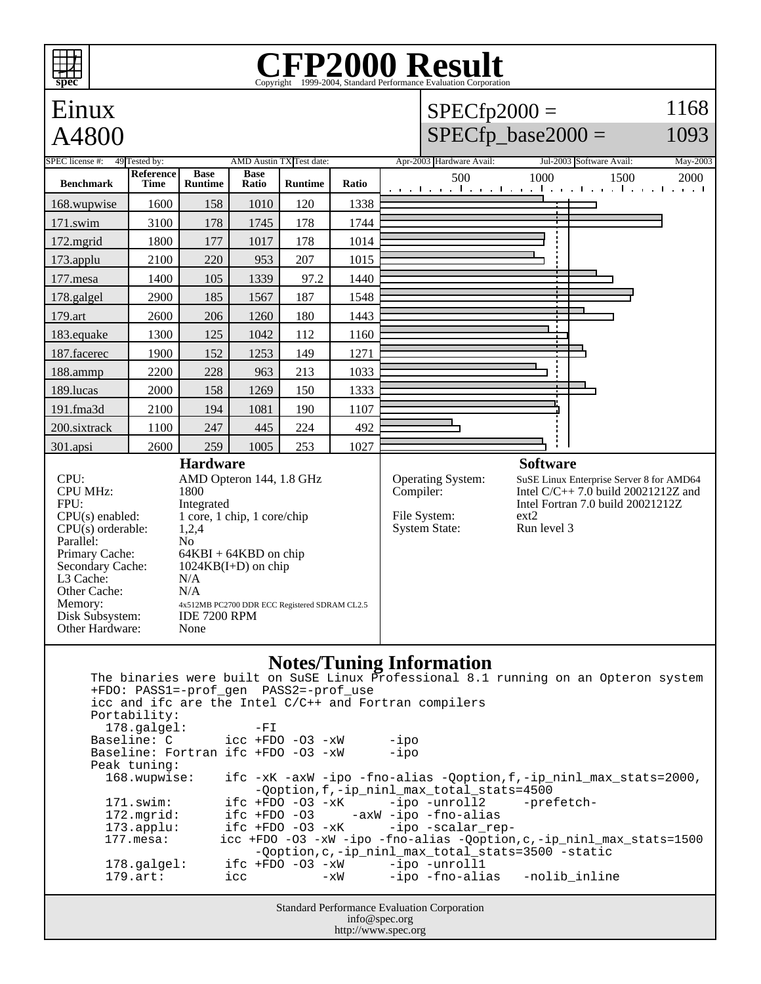## **CFP2000 Result** Copyright ©1999-2004, Standard



http://www.spec.org

**spec**